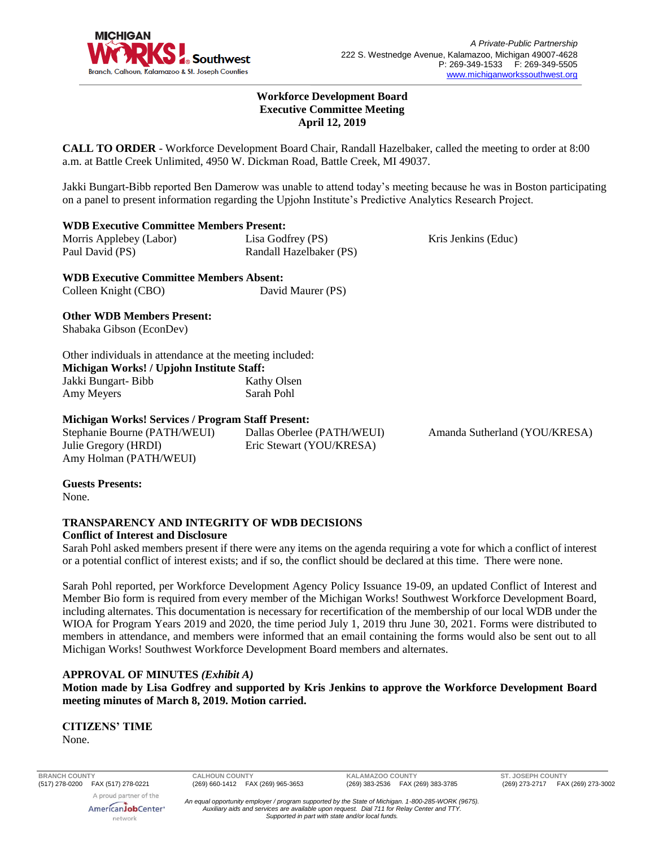

Kris Jenkins (Educ)

### **Workforce Development Board Executive Committee Meeting April 12, 2019**

**CALL TO ORDER** - Workforce Development Board Chair, Randall Hazelbaker, called the meeting to order at 8:00 a.m. at Battle Creek Unlimited, 4950 W. Dickman Road, Battle Creek, MI 49037.

Jakki Bungart-Bibb reported Ben Damerow was unable to attend today's meeting because he was in Boston participating on a panel to present information regarding the Upjohn Institute's Predictive Analytics Research Project.

### **WDB Executive Committee Members Present:**

| Morris Applebey (Labor) | Lisa Godfrey (PS)       |
|-------------------------|-------------------------|
| Paul David (PS)         | Randall Hazelbaker (PS) |

**WDB Executive Committee Members Absent:** Colleen Knight (CBO) David Maurer (PS)

## **Other WDB Members Present:**

Shabaka Gibson (EconDev)

Other individuals in attendance at the meeting included: **Michigan Works! / Upjohn Institute Staff:** Jakki Bungart- Bibb Amy Meyers Kathy Olsen Sarah Pohl

## **Michigan Works! Services / Program Staff Present:**

Stephanie Bourne (PATH/WEUI) Julie Gregory (HRDI) Amy Holman (PATH/WEUI)

Dallas Oberlee (PATH/WEUI) Eric Stewart (YOU/KRESA)

Amanda Sutherland (YOU/KRESA)

## **Guests Presents:**

None.

#### **TRANSPARENCY AND INTEGRITY OF WDB DECISIONS Conflict of Interest and Disclosure**

Sarah Pohl asked members present if there were any items on the agenda requiring a vote for which a conflict of interest or a potential conflict of interest exists; and if so, the conflict should be declared at this time. There were none.

Sarah Pohl reported, per Workforce Development Agency Policy Issuance 19-09, an updated Conflict of Interest and Member Bio form is required from every member of the Michigan Works! Southwest Workforce Development Board, including alternates. This documentation is necessary for recertification of the membership of our local WDB under the WIOA for Program Years 2019 and 2020, the time period July 1, 2019 thru June 30, 2021. Forms were distributed to members in attendance, and members were informed that an email containing the forms would also be sent out to all Michigan Works! Southwest Workforce Development Board members and alternates.

## **APPROVAL OF MINUTES** *(Exhibit A)*

**Motion made by Lisa Godfrey and supported by Kris Jenkins to approve the Workforce Development Board meeting minutes of March 8, 2019. Motion carried.** 

**CITIZENS' TIME** None.

A proud partner of the

**BRANCH COUNTY CALHOUN COUNTY KALAMAZOO COUNTY ST. JOSEPH COUNTY**

AmericanJobCenter<sup>®</sup> network

*An equal opportunity employer / program supported by the State of Michigan. 1-800-285-WORK (9675). Auxiliary aids and services are available upon request. Dial 711 for Relay Center and TTY. Supported in part with state and/or local funds.*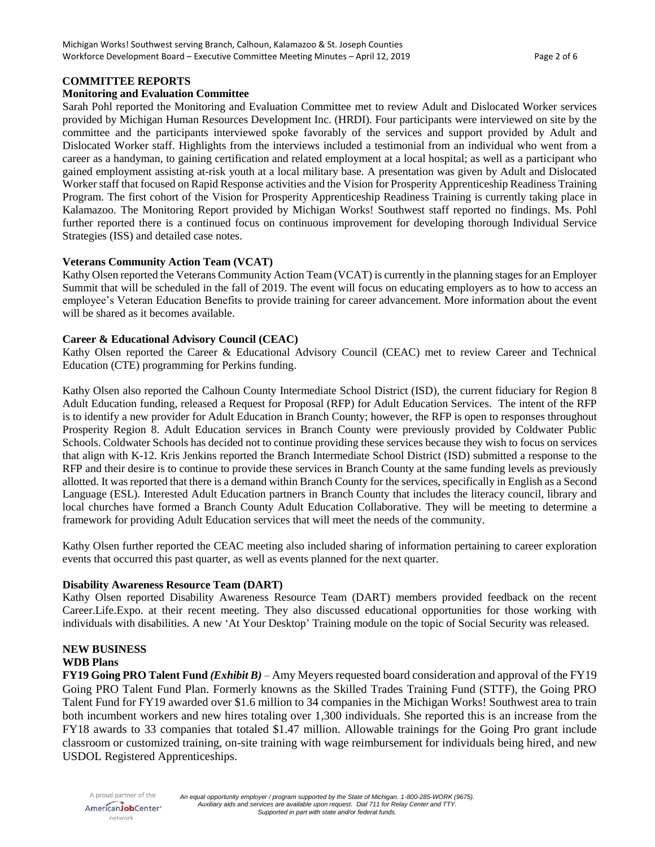#### **COMMITTEE REPORTS**

#### **Monitoring and Evaluation Committee**

Sarah Pohl reported the Monitoring and Evaluation Committee met to review Adult and Dislocated Worker services provided by Michigan Human Resources Development Inc. (HRDI). Four participants were interviewed on site by the committee and the participants interviewed spoke favorably of the services and support provided by Adult and Dislocated Worker staff. Highlights from the interviews included a testimonial from an individual who went from a career as a handyman, to gaining certification and related employment at a local hospital; as well as a participant who gained employment assisting at-risk youth at a local military base. A presentation was given by Adult and Dislocated Worker staff that focused on Rapid Response activities and the Vision for Prosperity Apprenticeship Readiness Training Program. The first cohort of the Vision for Prosperity Apprenticeship Readiness Training is currently taking place in Kalamazoo. The Monitoring Report provided by Michigan Works! Southwest staff reported no findings. Ms. Pohl further reported there is a continued focus on continuous improvement for developing thorough Individual Service Strategies (ISS) and detailed case notes.

#### **Veterans Community Action Team (VCAT)**

Kathy Olsen reported the Veterans Community Action Team (VCAT) is currently in the planning stages for an Employer Summit that will be scheduled in the fall of 2019. The event will focus on educating employers as to how to access an employee's Veteran Education Benefits to provide training for career advancement. More information about the event will be shared as it becomes available.

#### **Career & Educational Advisory Council (CEAC)**

Kathy Olsen reported the Career & Educational Advisory Council (CEAC) met to review Career and Technical Education (CTE) programming for Perkins funding.

Kathy Olsen also reported the Calhoun County Intermediate School District (ISD), the current fiduciary for Region 8 Adult Education funding, released a Request for Proposal (RFP) for Adult Education Services. The intent of the RFP is to identify a new provider for Adult Education in Branch County; however, the RFP is open to responses throughout Prosperity Region 8. Adult Education services in Branch County were previously provided by Coldwater Public Schools. Coldwater Schools has decided not to continue providing these services because they wish to focus on services that align with K-12. Kris Jenkins reported the Branch Intermediate School District (ISD) submitted a response to the RFP and their desire is to continue to provide these services in Branch County at the same funding levels as previously allotted. It was reported that there is a demand within Branch County for the services, specifically in English as a Second Language (ESL). Interested Adult Education partners in Branch County that includes the literacy council, library and local churches have formed a Branch County Adult Education Collaborative. They will be meeting to determine a framework for providing Adult Education services that will meet the needs of the community.

Kathy Olsen further reported the CEAC meeting also included sharing of information pertaining to career exploration events that occurred this past quarter, as well as events planned for the next quarter.

#### **Disability Awareness Resource Team (DART)**

Kathy Olsen reported Disability Awareness Resource Team (DART) members provided feedback on the recent Career.Life.Expo. at their recent meeting. They also discussed educational opportunities for those working with individuals with disabilities. A new 'At Your Desktop' Training module on the topic of Social Security was released.

# **NEW BUSINESS**

## **WDB Plans**

**FY19 Going PRO Talent Fund** *(Exhibit B)* – Amy Meyers requested board consideration and approval of the FY19 Going PRO Talent Fund Plan. Formerly knowns as the Skilled Trades Training Fund (STTF), the Going PRO Talent Fund for FY19 awarded over \$1.6 million to 34 companies in the Michigan Works! Southwest area to train both incumbent workers and new hires totaling over 1,300 individuals. She reported this is an increase from the FY18 awards to 33 companies that totaled \$1.47 million. Allowable trainings for the Going Pro grant include classroom or customized training, on-site training with wage reimbursement for individuals being hired, and new USDOL Registered Apprenticeships.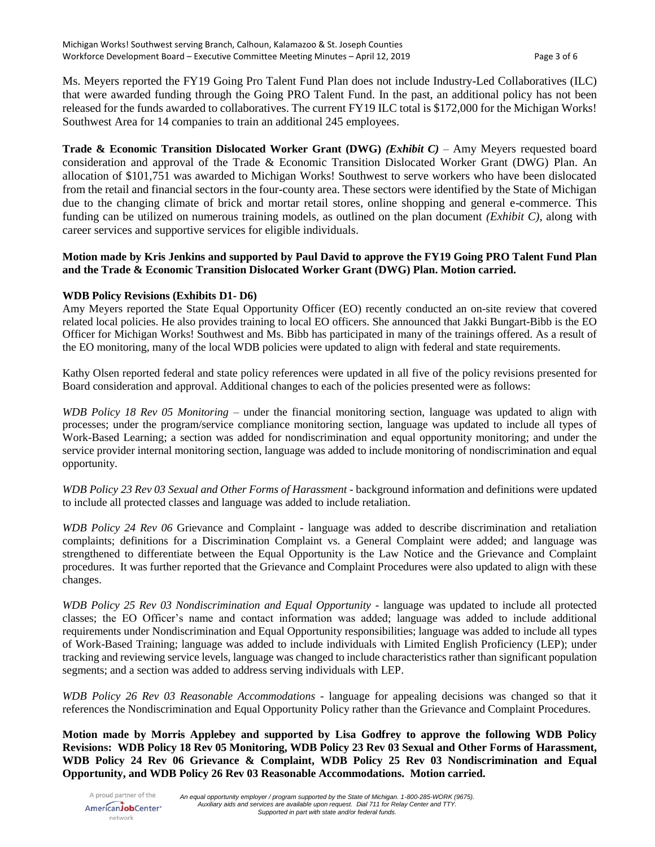Ms. Meyers reported the FY19 Going Pro Talent Fund Plan does not include Industry-Led Collaboratives (ILC) that were awarded funding through the Going PRO Talent Fund. In the past, an additional policy has not been released for the funds awarded to collaboratives. The current FY19 ILC total is \$172,000 for the Michigan Works! Southwest Area for 14 companies to train an additional 245 employees.

**Trade & Economic Transition Dislocated Worker Grant (DWG)** *(Exhibit C)* – Amy Meyers requested board consideration and approval of the Trade & Economic Transition Dislocated Worker Grant (DWG) Plan. An allocation of \$101,751 was awarded to Michigan Works! Southwest to serve workers who have been dislocated from the retail and financial sectors in the four-county area. These sectors were identified by the State of Michigan due to the changing climate of brick and mortar retail stores, online shopping and general e-commerce. This funding can be utilized on numerous training models, as outlined on the plan document *(Exhibit C)*, along with career services and supportive services for eligible individuals.

## **Motion made by Kris Jenkins and supported by Paul David to approve the FY19 Going PRO Talent Fund Plan and the Trade & Economic Transition Dislocated Worker Grant (DWG) Plan. Motion carried.**

## **WDB Policy Revisions (Exhibits D1- D6)**

Amy Meyers reported the State Equal Opportunity Officer (EO) recently conducted an on-site review that covered related local policies. He also provides training to local EO officers. She announced that Jakki Bungart-Bibb is the EO Officer for Michigan Works! Southwest and Ms. Bibb has participated in many of the trainings offered. As a result of the EO monitoring, many of the local WDB policies were updated to align with federal and state requirements.

Kathy Olsen reported federal and state policy references were updated in all five of the policy revisions presented for Board consideration and approval. Additional changes to each of the policies presented were as follows:

*WDB Policy 18 Rev 05 Monitoring* – under the financial monitoring section, language was updated to align with processes; under the program/service compliance monitoring section, language was updated to include all types of Work-Based Learning; a section was added for nondiscrimination and equal opportunity monitoring; and under the service provider internal monitoring section, language was added to include monitoring of nondiscrimination and equal opportunity.

*WDB Policy 23 Rev 03 Sexual and Other Forms of Harassment* - background information and definitions were updated to include all protected classes and language was added to include retaliation.

*WDB Policy 24 Rev 06* Grievance and Complaint - language was added to describe discrimination and retaliation complaints; definitions for a Discrimination Complaint vs. a General Complaint were added; and language was strengthened to differentiate between the Equal Opportunity is the Law Notice and the Grievance and Complaint procedures. It was further reported that the Grievance and Complaint Procedures were also updated to align with these changes.

*WDB Policy 25 Rev 03 Nondiscrimination and Equal Opportunity* - language was updated to include all protected classes; the EO Officer's name and contact information was added; language was added to include additional requirements under Nondiscrimination and Equal Opportunity responsibilities; language was added to include all types of Work-Based Training; language was added to include individuals with Limited English Proficiency (LEP); under tracking and reviewing service levels, language was changed to include characteristics rather than significant population segments; and a section was added to address serving individuals with LEP.

*WDB Policy 26 Rev 03 Reasonable Accommodations* - language for appealing decisions was changed so that it references the Nondiscrimination and Equal Opportunity Policy rather than the Grievance and Complaint Procedures.

**Motion made by Morris Applebey and supported by Lisa Godfrey to approve the following WDB Policy Revisions: WDB Policy 18 Rev 05 Monitoring, WDB Policy 23 Rev 03 Sexual and Other Forms of Harassment, WDB Policy 24 Rev 06 Grievance & Complaint, WDB Policy 25 Rev 03 Nondiscrimination and Equal Opportunity, and WDB Policy 26 Rev 03 Reasonable Accommodations. Motion carried.**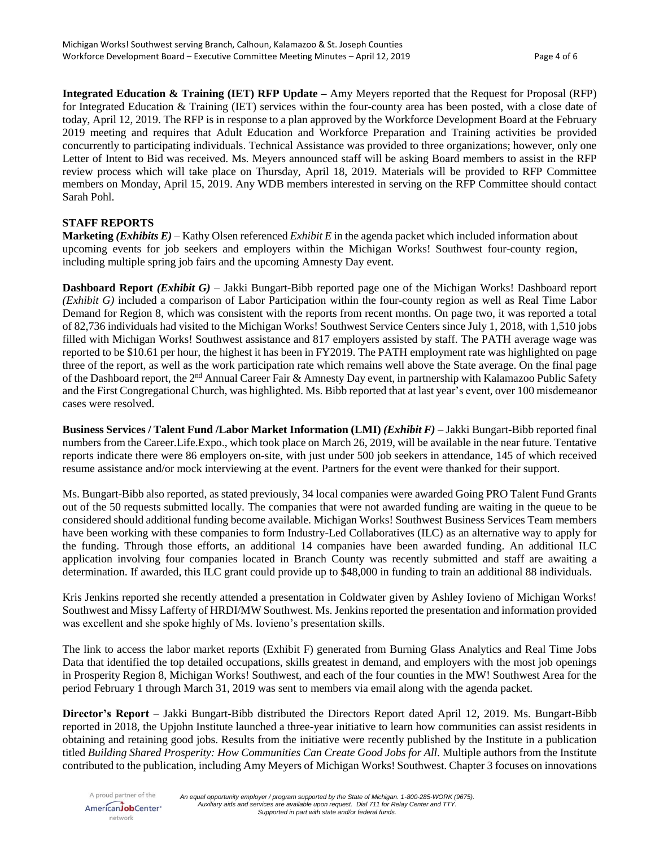**Integrated Education & Training (IET) RFP Update –** Amy Meyers reported that the Request for Proposal (RFP) for Integrated Education & Training (IET) services within the four-county area has been posted, with a close date of today, April 12, 2019. The RFP is in response to a plan approved by the Workforce Development Board at the February 2019 meeting and requires that Adult Education and Workforce Preparation and Training activities be provided concurrently to participating individuals. Technical Assistance was provided to three organizations; however, only one Letter of Intent to Bid was received. Ms. Meyers announced staff will be asking Board members to assist in the RFP review process which will take place on Thursday, April 18, 2019. Materials will be provided to RFP Committee members on Monday, April 15, 2019. Any WDB members interested in serving on the RFP Committee should contact Sarah Pohl.

## **STAFF REPORTS**

**Marketing** *(Exhibits E)* – Kathy Olsen referenced *Exhibit E* in the agenda packet which included information about upcoming events for job seekers and employers within the Michigan Works! Southwest four-county region, including multiple spring job fairs and the upcoming Amnesty Day event.

**Dashboard Report** *(Exhibit G)* – Jakki Bungart-Bibb reported page one of the Michigan Works! Dashboard report *(Exhibit G)* included a comparison of Labor Participation within the four-county region as well as Real Time Labor Demand for Region 8, which was consistent with the reports from recent months. On page two, it was reported a total of 82,736 individuals had visited to the Michigan Works! Southwest Service Centers since July 1, 2018, with 1,510 jobs filled with Michigan Works! Southwest assistance and 817 employers assisted by staff. The PATH average wage was reported to be \$10.61 per hour, the highest it has been in FY2019. The PATH employment rate was highlighted on page three of the report, as well as the work participation rate which remains well above the State average. On the final page of the Dashboard report, the 2nd Annual Career Fair & Amnesty Day event, in partnership with Kalamazoo Public Safety and the First Congregational Church, was highlighted. Ms. Bibb reported that at last year's event, over 100 misdemeanor cases were resolved.

**Business Services / Talent Fund /Labor Market Information (LMI)** *(Exhibit F)* – Jakki Bungart-Bibb reported final numbers from the Career.Life.Expo., which took place on March 26, 2019, will be available in the near future. Tentative reports indicate there were 86 employers on-site, with just under 500 job seekers in attendance, 145 of which received resume assistance and/or mock interviewing at the event. Partners for the event were thanked for their support.

Ms. Bungart-Bibb also reported, as stated previously, 34 local companies were awarded Going PRO Talent Fund Grants out of the 50 requests submitted locally. The companies that were not awarded funding are waiting in the queue to be considered should additional funding become available. Michigan Works! Southwest Business Services Team members have been working with these companies to form Industry-Led Collaboratives (ILC) as an alternative way to apply for the funding. Through those efforts, an additional 14 companies have been awarded funding. An additional ILC application involving four companies located in Branch County was recently submitted and staff are awaiting a determination. If awarded, this ILC grant could provide up to \$48,000 in funding to train an additional 88 individuals.

Kris Jenkins reported she recently attended a presentation in Coldwater given by Ashley Iovieno of Michigan Works! Southwest and Missy Lafferty of HRDI/MW Southwest. Ms. Jenkins reported the presentation and information provided was excellent and she spoke highly of Ms. Iovieno's presentation skills.

The link to access the labor market reports (Exhibit F) generated from Burning Glass Analytics and Real Time Jobs Data that identified the top detailed occupations, skills greatest in demand, and employers with the most job openings in Prosperity Region 8, Michigan Works! Southwest, and each of the four counties in the MW! Southwest Area for the period February 1 through March 31, 2019 was sent to members via email along with the agenda packet.

**Director's Report** – Jakki Bungart-Bibb distributed the Directors Report dated April 12, 2019. Ms. Bungart-Bibb reported in 2018, the Upjohn Institute launched a three-year initiative to learn how communities can assist residents in obtaining and retaining good jobs. Results from the initiative were recently published by the Institute in a publication titled *Building Shared Prosperity: How Communities Can Create Good Jobs for All*. Multiple authors from the Institute contributed to the publication, including Amy Meyers of Michigan Works! Southwest. Chapter 3 focuses on innovations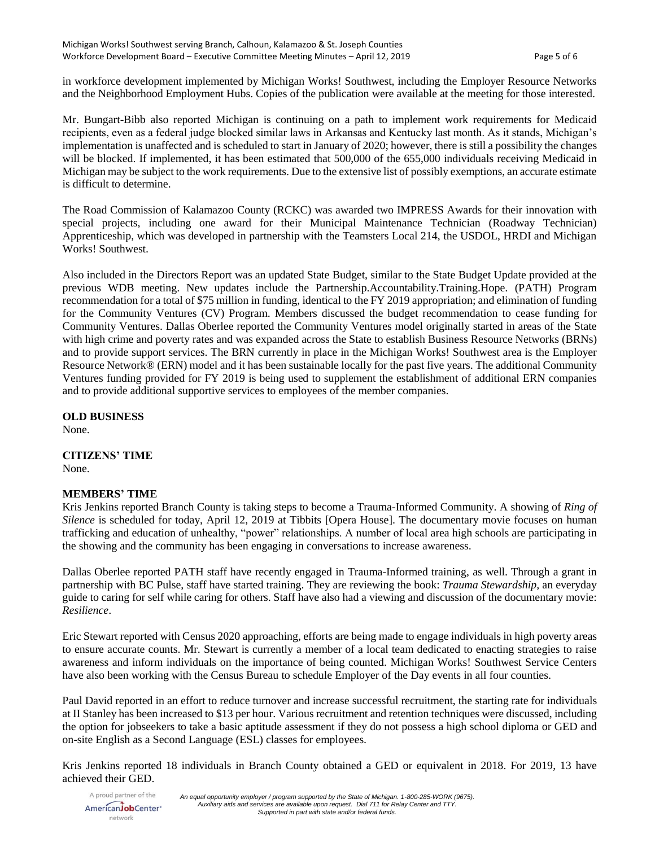in workforce development implemented by Michigan Works! Southwest, including the Employer Resource Networks and the Neighborhood Employment Hubs. Copies of the publication were available at the meeting for those interested.

Mr. Bungart-Bibb also reported Michigan is continuing on a path to implement work requirements for Medicaid recipients, even as a federal judge blocked similar laws in Arkansas and Kentucky last month. As it stands, Michigan's implementation is unaffected and is scheduled to start in January of 2020; however, there is still a possibility the changes will be blocked. If implemented, it has been estimated that 500,000 of the 655,000 individuals receiving Medicaid in Michigan may be subject to the work requirements. Due to the extensive list of possibly exemptions, an accurate estimate is difficult to determine.

The Road Commission of Kalamazoo County (RCKC) was awarded two IMPRESS Awards for their innovation with special projects, including one award for their Municipal Maintenance Technician (Roadway Technician) Apprenticeship, which was developed in partnership with the Teamsters Local 214, the USDOL, HRDI and Michigan Works! Southwest.

Also included in the Directors Report was an updated State Budget, similar to the State Budget Update provided at the previous WDB meeting. New updates include the Partnership.Accountability.Training.Hope. (PATH) Program recommendation for a total of \$75 million in funding, identical to the FY 2019 appropriation; and elimination of funding for the Community Ventures (CV) Program. Members discussed the budget recommendation to cease funding for Community Ventures. Dallas Oberlee reported the Community Ventures model originally started in areas of the State with high crime and poverty rates and was expanded across the State to establish Business Resource Networks (BRNs) and to provide support services. The BRN currently in place in the Michigan Works! Southwest area is the Employer Resource Network® (ERN) model and it has been sustainable locally for the past five years. The additional Community Ventures funding provided for FY 2019 is being used to supplement the establishment of additional ERN companies and to provide additional supportive services to employees of the member companies.

**OLD BUSINESS**

None.

**CITIZENS' TIME** None.

## **MEMBERS' TIME**

Kris Jenkins reported Branch County is taking steps to become a Trauma-Informed Community. A showing of *Ring of Silence* is scheduled for today, April 12, 2019 at Tibbits [Opera House]. The documentary movie focuses on human trafficking and education of unhealthy, "power" relationships. A number of local area high schools are participating in the showing and the community has been engaging in conversations to increase awareness.

Dallas Oberlee reported PATH staff have recently engaged in Trauma-Informed training, as well. Through a grant in partnership with BC Pulse, staff have started training. They are reviewing the book: *Trauma Stewardship,* an everyday guide to caring for self while caring for others. Staff have also had a viewing and discussion of the documentary movie: *Resilience*.

Eric Stewart reported with Census 2020 approaching, efforts are being made to engage individuals in high poverty areas to ensure accurate counts. Mr. Stewart is currently a member of a local team dedicated to enacting strategies to raise awareness and inform individuals on the importance of being counted. Michigan Works! Southwest Service Centers have also been working with the Census Bureau to schedule Employer of the Day events in all four counties.

Paul David reported in an effort to reduce turnover and increase successful recruitment, the starting rate for individuals at II Stanley has been increased to \$13 per hour. Various recruitment and retention techniques were discussed, including the option for jobseekers to take a basic aptitude assessment if they do not possess a high school diploma or GED and on-site English as a Second Language (ESL) classes for employees.

Kris Jenkins reported 18 individuals in Branch County obtained a GED or equivalent in 2018. For 2019, 13 have achieved their GED.